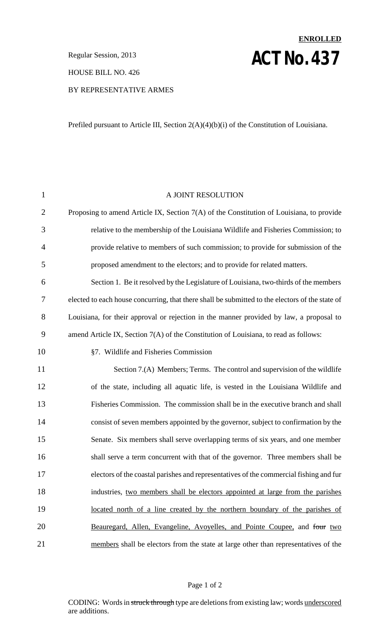**ACT NO. 437** Regular Session, 2013

HOUSE BILL NO. 426

## BY REPRESENTATIVE ARMES

Prefiled pursuant to Article III, Section 2(A)(4)(b)(i) of the Constitution of Louisiana.

**ENROLLED**

| $\mathbf{1}$   | A JOINT RESOLUTION                                                                              |
|----------------|-------------------------------------------------------------------------------------------------|
| $\overline{2}$ | Proposing to amend Article IX, Section 7(A) of the Constitution of Louisiana, to provide        |
| 3              | relative to the membership of the Louisiana Wildlife and Fisheries Commission; to               |
| $\overline{4}$ | provide relative to members of such commission; to provide for submission of the                |
| 5              | proposed amendment to the electors; and to provide for related matters.                         |
| 6              | Section 1. Be it resolved by the Legislature of Louisiana, two-thirds of the members            |
| 7              | elected to each house concurring, that there shall be submitted to the electors of the state of |
| 8              | Louisiana, for their approval or rejection in the manner provided by law, a proposal to         |
| 9              | amend Article IX, Section 7(A) of the Constitution of Louisiana, to read as follows:            |
| 10             | §7. Wildlife and Fisheries Commission                                                           |
| 11             | Section 7.(A) Members; Terms. The control and supervision of the wildlife                       |
| 12             | of the state, including all aquatic life, is vested in the Louisiana Wildlife and               |
| 13             | Fisheries Commission. The commission shall be in the executive branch and shall                 |
| 14             | consist of seven members appointed by the governor, subject to confirmation by the              |
| 15             | Senate. Six members shall serve overlapping terms of six years, and one member                  |
| 16             | shall serve a term concurrent with that of the governor. Three members shall be                 |
| 17             | electors of the coastal parishes and representatives of the commercial fishing and fur          |
| 18             | industries, two members shall be electors appointed at large from the parishes                  |
| 19             | located north of a line created by the northern boundary of the parishes of                     |
| 20             | Beauregard, Allen, Evangeline, Avoyelles, and Pointe Coupee, and four two                       |
| 21             | members shall be electors from the state at large other than representatives of the             |
|                |                                                                                                 |

## Page 1 of 2

CODING: Words in struck through type are deletions from existing law; words underscored are additions.